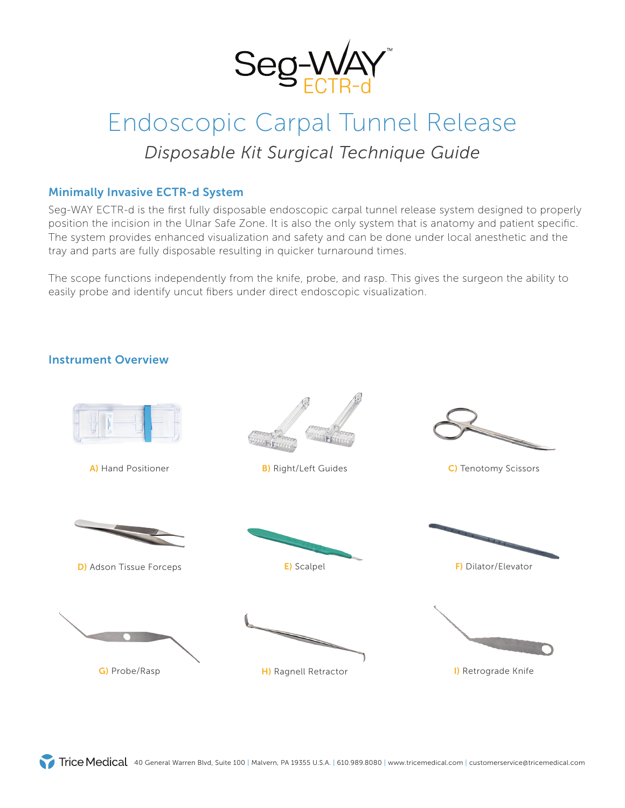

# Endoscopic Carpal Tunnel Release *Disposable Kit Surgical Technique Guide*

### Minimally Invasive ECTR-d System

Seg-WAY ECTR-d is the first fully disposable endoscopic carpal tunnel release system designed to properly position the incision in the Ulnar Safe Zone. It is also the only system that is anatomy and patient specific. The system provides enhanced visualization and safety and can be done under local anesthetic and the tray and parts are fully disposable resulting in quicker turnaround times.

The scope functions independently from the knife, probe, and rasp. This gives the surgeon the ability to easily probe and identify uncut fibers under direct endoscopic visualization.

#### Instrument Overview

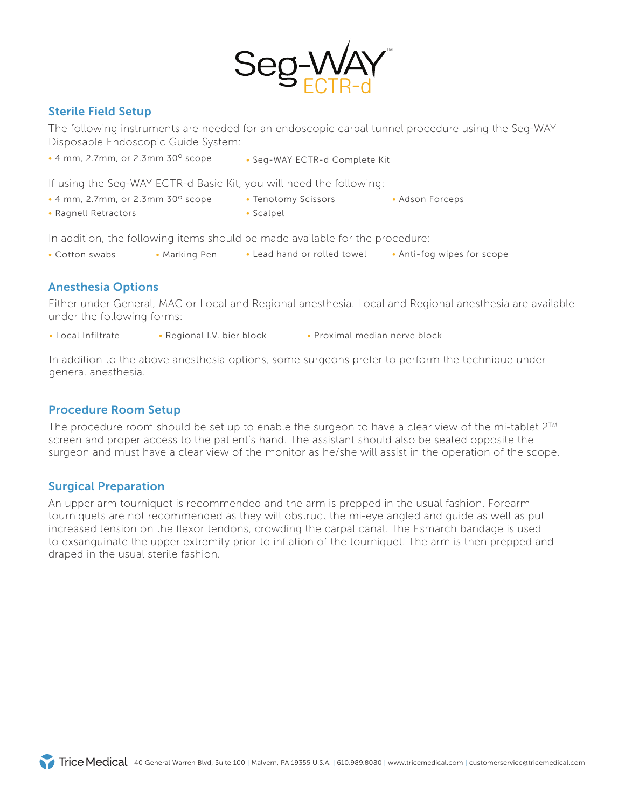

### Sterile Field Setup

The following instruments are needed for an endoscopic carpal tunnel procedure using the Seg-WAY Disposable Endoscopic Guide System:

- $\cdot$  4 mm, 2.7mm, or 2.3mm 30 $^{\circ}$  scope
- Seg-WAY ECTR-d Complete Kit

If using the Seg-WAY ECTR-d Basic Kit, you will need the following:

- $\cdot$  4 mm, 2.7mm, or 2.3mm 30 $^{\circ}$  scope • Tenotomy Scissors • Adson Forceps
- Ragnell Retractors

• Scalpel

In addition, the following items should be made available for the procedure:

• Cotton swabs • Marking Pen • Lead hand or rolled towel • Anti-fog wipes for scope

#### Anesthesia Options

Either under General, MAC or Local and Regional anesthesia. Local and Regional anesthesia are available under the following forms:

- Local Infiltrate Regional I.V. bier block Proximal median nerve block
- 

In addition to the above anesthesia options, some surgeons prefer to perform the technique under general anesthesia.

### Procedure Room Setup

The procedure room should be set up to enable the surgeon to have a clear view of the mi-tablet  $2^{TM}$ screen and proper access to the patient's hand. The assistant should also be seated opposite the surgeon and must have a clear view of the monitor as he/she will assist in the operation of the scope.

#### Surgical Preparation

An upper arm tourniquet is recommended and the arm is prepped in the usual fashion. Forearm tourniquets are not recommended as they will obstruct the mi-eye angled and guide as well as put increased tension on the flexor tendons, crowding the carpal canal. The Esmarch bandage is used to exsanguinate the upper extremity prior to inflation of the tourniquet. The arm is then prepped and draped in the usual sterile fashion.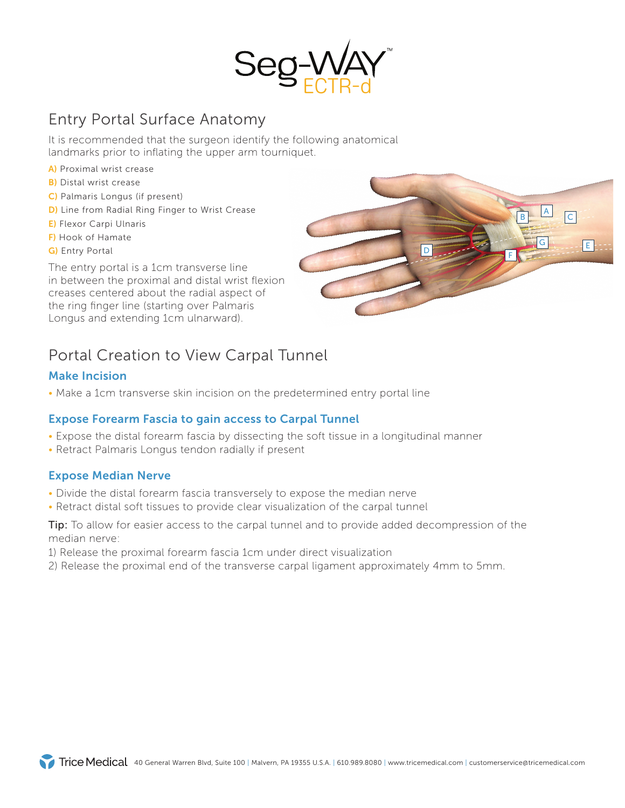

# Entry Portal Surface Anatomy

It is recommended that the surgeon identify the following anatomical landmarks prior to inflating the upper arm tourniquet.

- A) Proximal wrist crease
- **B)** Distal wrist crease
- C) Palmaris Longus (if present)
- D) Line from Radial Ring Finger to Wrist Crease
- E) Flexor Carpi Ulnaris
- F) Hook of Hamate
- G) Entry Portal

The entry portal is a 1cm transverse line in between the proximal and distal wrist flexion creases centered about the radial aspect of the ring finger line (starting over Palmaris Longus and extending 1cm ulnarward).



## Portal Creation to View Carpal Tunnel

### Make Incision

• Make a 1cm transverse skin incision on the predetermined entry portal line

### Expose Forearm Fascia to gain access to Carpal Tunnel

- Expose the distal forearm fascia by dissecting the soft tissue in a longitudinal manner
- Retract Palmaris Longus tendon radially if present

#### Expose Median Nerve

- Divide the distal forearm fascia transversely to expose the median nerve
- Retract distal soft tissues to provide clear visualization of the carpal tunnel

**Tip:** To allow for easier access to the carpal tunnel and to provide added decompression of the median nerve:

- 1) Release the proximal forearm fascia 1cm under direct visualization
- 2) Release the proximal end of the transverse carpal ligament approximately 4mm to 5mm.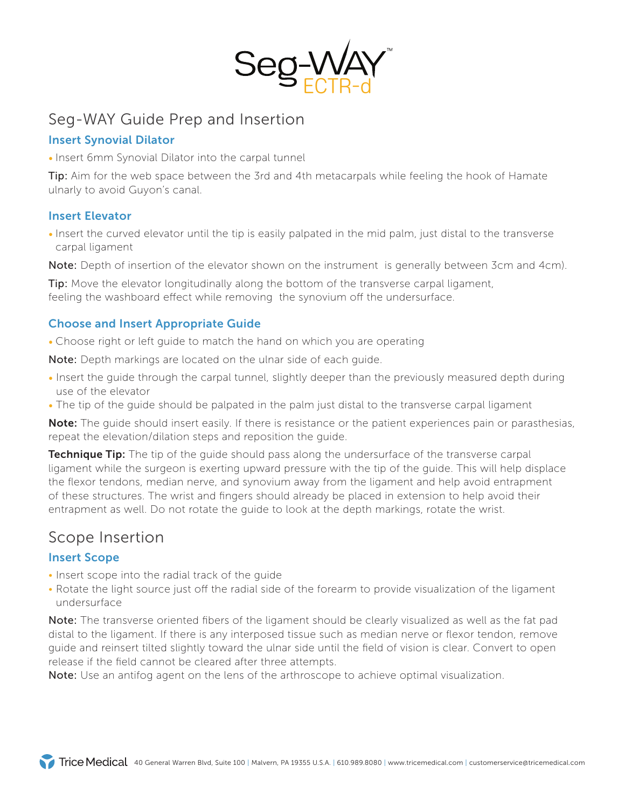

### Seg-WAY Guide Prep and Insertion

### Insert Synovial Dilator

• Insert 6mm Synovial Dilator into the carpal tunnel

**Tip:** Aim for the web space between the 3rd and 4th metacarpals while feeling the hook of Hamate ulnarly to avoid Guyon's canal.

### Insert Elevator

• Insert the curved elevator until the tip is easily palpated in the mid palm, just distal to the transverse carpal ligament

Note: Depth of insertion of the elevator shown on the instrument is generally between 3cm and 4cm).

**Tip:** Move the elevator longitudinally along the bottom of the transverse carpal ligament, feeling the washboard effect while removing the synovium off the undersurface.

### Choose and Insert Appropriate Guide

• Choose right or left guide to match the hand on which you are operating

Note: Depth markings are located on the ulnar side of each guide.

- Insert the guide through the carpal tunnel, slightly deeper than the previously measured depth during use of the elevator
- The tip of the quide should be palpated in the palm just distal to the transverse carpal ligament

Note: The quide should insert easily. If there is resistance or the patient experiences pain or parasthesias, repeat the elevation/dilation steps and reposition the guide.

**Technique Tip:** The tip of the guide should pass along the undersurface of the transverse carpal ligament while the surgeon is exerting upward pressure with the tip of the guide. This will help displace the flexor tendons, median nerve, and synovium away from the ligament and help avoid entrapment of these structures. The wrist and fingers should already be placed in extension to help avoid their entrapment as well. Do not rotate the guide to look at the depth markings, rotate the wrist.

### Scope Insertion

### Insert Scope

- Insert scope into the radial track of the guide
- Rotate the light source just off the radial side of the forearm to provide visualization of the ligament undersurface

Note: The transverse oriented fibers of the ligament should be clearly visualized as well as the fat pad distal to the ligament. If there is any interposed tissue such as median nerve or flexor tendon, remove guide and reinsert tilted slightly toward the ulnar side until the field of vision is clear. Convert to open release if the field cannot be cleared after three attempts.

Note: Use an antifog agent on the lens of the arthroscope to achieve optimal visualization.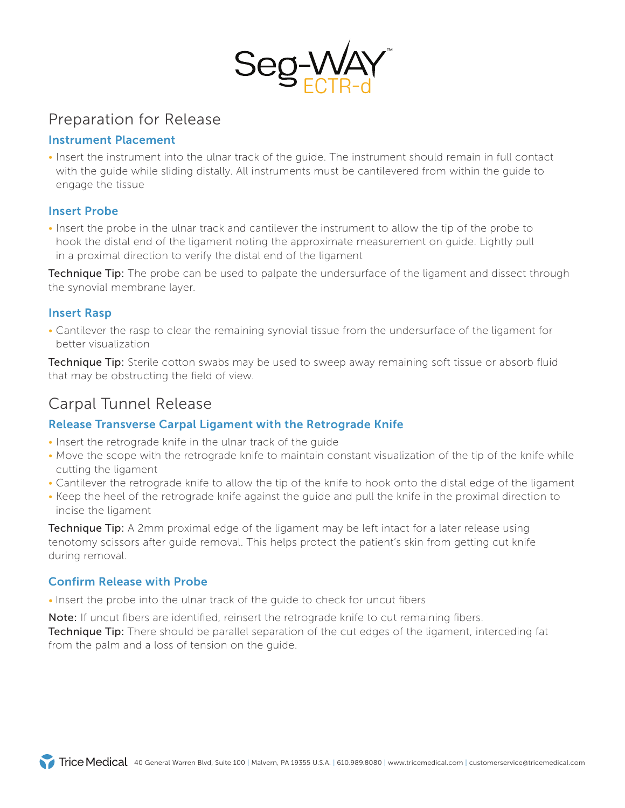

### Preparation for Release

### Instrument Placement

• Insert the instrument into the ulnar track of the guide. The instrument should remain in full contact with the guide while sliding distally. All instruments must be cantilevered from within the guide to engage the tissue

### Insert Probe

• Insert the probe in the ulnar track and cantilever the instrument to allow the tip of the probe to hook the distal end of the ligament noting the approximate measurement on guide. Lightly pull in a proximal direction to verify the distal end of the ligament

Technique Tip: The probe can be used to palpate the undersurface of the ligament and dissect through the synovial membrane layer.

### Insert Rasp

• Cantilever the rasp to clear the remaining synovial tissue from the undersurface of the ligament for better visualization

**Technique Tip:** Sterile cotton swabs may be used to sweep away remaining soft tissue or absorb fluid that may be obstructing the field of view.

### Carpal Tunnel Release

### Release Transverse Carpal Ligament with the Retrograde Knife

- Insert the retrograde knife in the ulnar track of the guide
- Move the scope with the retrograde knife to maintain constant visualization of the tip of the knife while cutting the ligament
- Cantilever the retrograde knife to allow the tip of the knife to hook onto the distal edge of the ligament
- Keep the heel of the retrograde knife against the guide and pull the knife in the proximal direction to incise the ligament

**Technique Tip:** A 2mm proximal edge of the ligament may be left intact for a later release using tenotomy scissors after guide removal. This helps protect the patient's skin from getting cut knife during removal.

### Confirm Release with Probe

• Insert the probe into the ulnar track of the guide to check for uncut fibers

Note: If uncut fibers are identified, reinsert the retrograde knife to cut remaining fibers.

**Technique Tip:** There should be parallel separation of the cut edges of the ligament, interceding fat from the palm and a loss of tension on the guide.